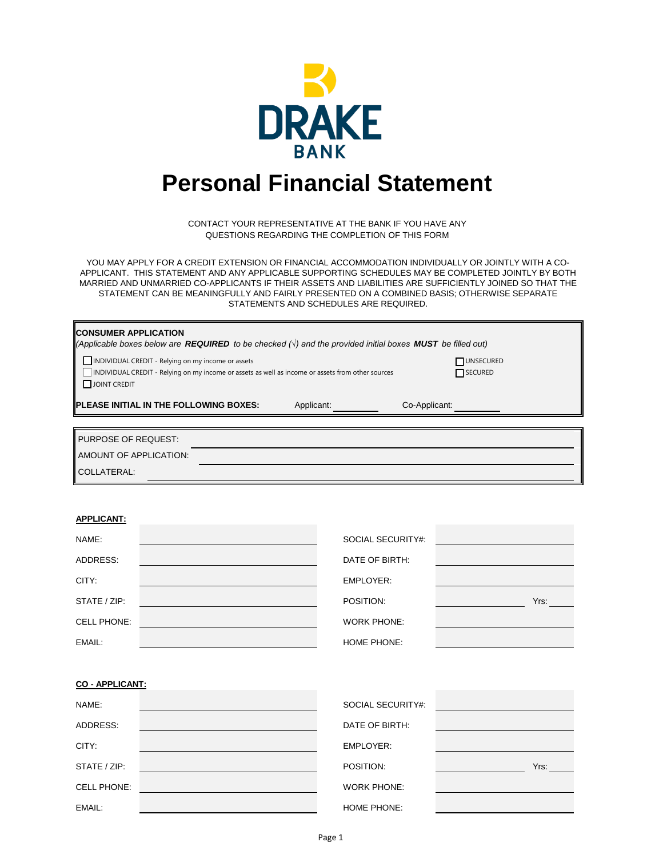

# **Personal Financial Statement**

CONTACT YOUR REPRESENTATIVE AT THE BANK IF YOU HAVE ANY QUESTIONS REGARDING THE COMPLETION OF THIS FORM

YOU MAY APPLY FOR A CREDIT EXTENSION OR FINANCIAL ACCOMMODATION INDIVIDUALLY OR JOINTLY WITH A CO-APPLICANT. THIS STATEMENT AND ANY APPLICABLE SUPPORTING SCHEDULES MAY BE COMPLETED JOINTLY BY BOTH MARRIED AND UNMARRIED CO-APPLICANTS IF THEIR ASSETS AND LIABILITIES ARE SUFFICIENTLY JOINED SO THAT THE STATEMENT CAN BE MEANINGFULLY AND FAIRLY PRESENTED ON A COMBINED BASIS; OTHERWISE SEPARATE STATEMENTS AND SCHEDULES ARE REQUIRED.

| <b>CONSUMER APPLICATION</b><br>$\ $ (Applicable boxes below are <b>REQUIRED</b> to be checked $\langle \cdot \rangle$ and the provided initial boxes <b>MUST</b> be filled out) |                      |  |  |  |  |  |
|---------------------------------------------------------------------------------------------------------------------------------------------------------------------------------|----------------------|--|--|--|--|--|
| INDIVIDUAL CREDIT - Relying on my income or assets<br>INDIVIDUAL CREDIT - Relying on my income or assets as well as income or assets from other sources<br>$\Box$ JOINT CREDIT  | UNSECURED<br>SECURED |  |  |  |  |  |
| <b>IPLEASE INITIAL IN THE FOLLOWING BOXES:</b><br>Applicant:                                                                                                                    | Co-Applicant:        |  |  |  |  |  |
|                                                                                                                                                                                 |                      |  |  |  |  |  |
| PURPOSE OF REQUEST:                                                                                                                                                             |                      |  |  |  |  |  |
| <b>NAMOUNT OF APPLICATION:</b>                                                                                                                                                  |                      |  |  |  |  |  |
| II COLLATERAL:                                                                                                                                                                  |                      |  |  |  |  |  |

# **APPLICANT:**

| NAME:              | SOCIAL SECURITY#:  |      |
|--------------------|--------------------|------|
| ADDRESS:           | DATE OF BIRTH:     |      |
| CITY:              | EMPLOYER:          |      |
| STATE / ZIP:       | POSITION:          | Yrs: |
| <b>CELL PHONE:</b> | <b>WORK PHONE:</b> |      |
| EMAIL:             | <b>HOME PHONE:</b> |      |

**CO - APPLICANT:**

| NAME:              | SOCIAL SECURITY#:  |      |
|--------------------|--------------------|------|
| ADDRESS:           | DATE OF BIRTH:     |      |
| CITY:              | EMPLOYER:          |      |
| STATE / ZIP:       | POSITION:          | Yrs: |
| <b>CELL PHONE:</b> | <b>WORK PHONE:</b> |      |
| EMAIL:             | HOME PHONE:        |      |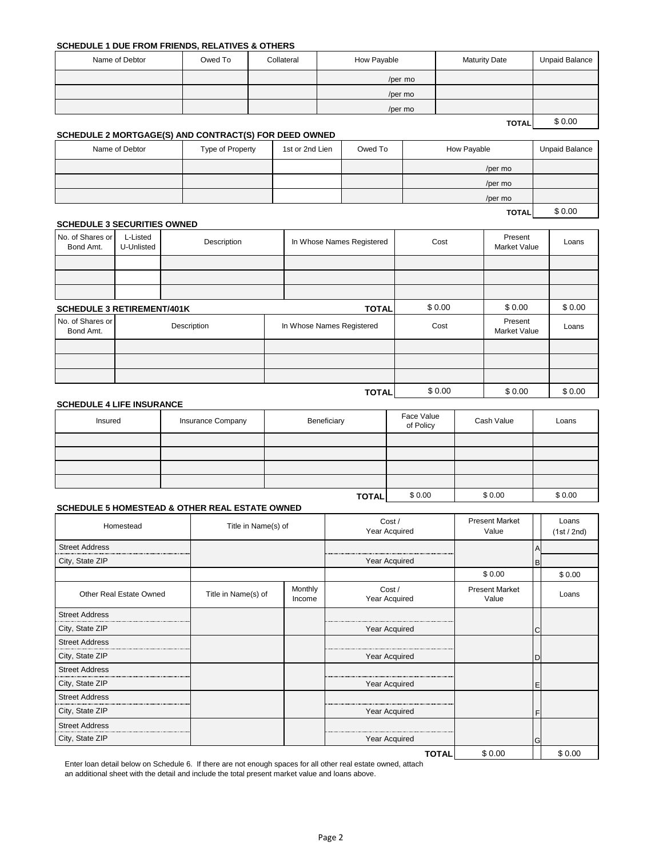#### **SCHEDULE 1 DUE FROM FRIENDS, RELATIVES & OTHERS**

| Name of Debtor | Owed To | Collateral | How Payable | <b>Maturity Date</b> | <b>Unpaid Balance</b> |
|----------------|---------|------------|-------------|----------------------|-----------------------|
|                |         |            | /per mo     |                      |                       |
|                |         |            | /per mo     |                      |                       |
|                |         |            | /per mo     |                      |                       |
|                |         |            |             | <b>TOTAL</b>         | \$0.00                |

#### **SCHEDULE 2 MORTGAGE(S) AND CONTRACT(S) FOR DEED OWNED**

| Name of Debtor | Type of Property | 1st or 2nd Lien | Owed To | How Payable  | Unpaid Balance |
|----------------|------------------|-----------------|---------|--------------|----------------|
|                |                  |                 |         | /per mo      |                |
|                |                  |                 |         | /per mo      |                |
|                |                  |                 |         | /per mo      |                |
|                |                  |                 |         | <b>TOTAL</b> | \$0.00         |

#### **SCHEDULE 3 SECURITIES OWNED**

| No. of Shares or<br>Bond Amt.     | L-Listed<br>U-Unlisted | Description | In Whose Names Registered | Cost   | Present<br>Market Value        | Loans  |
|-----------------------------------|------------------------|-------------|---------------------------|--------|--------------------------------|--------|
|                                   |                        |             |                           |        |                                |        |
|                                   |                        |             |                           |        |                                |        |
|                                   |                        |             |                           |        |                                |        |
| <b>SCHEDULE 3 RETIREMENT/401K</b> |                        |             | <b>TOTAL</b>              | \$0.00 | \$0.00                         | \$0.00 |
| No. of Shares or<br>Bond Amt.     |                        | Description | In Whose Names Registered | Cost   | Present<br><b>Market Value</b> | Loans  |
|                                   |                        |             |                           |        |                                |        |
|                                   |                        |             |                           |        |                                |        |
|                                   |                        |             |                           |        |                                |        |
|                                   |                        |             | <b>TOTAL</b>              | \$0.00 | \$0.00                         | \$0.00 |

#### **SCHEDULE 4 LIFE INSURANCE**

| Insured | Insurance Company | Beneficiary  | Face Value<br>of Policy | Cash Value | Loans  |
|---------|-------------------|--------------|-------------------------|------------|--------|
|         |                   |              |                         |            |        |
|         |                   |              |                         |            |        |
|         |                   |              |                         |            |        |
|         |                   |              |                         |            |        |
|         |                   | <b>TOTAL</b> | \$0.00                  | \$0.00     | \$0.00 |

# **SCHEDULE 5 HOMESTEAD & OTHER REAL ESTATE OWNED**

| Homestead               | Title in Name(s) of |                   | Cost /<br>Year Acquired | <b>Present Market</b><br>Value |   | Loans<br>(1st / 2nd) |
|-------------------------|---------------------|-------------------|-------------------------|--------------------------------|---|----------------------|
| <b>Street Address</b>   |                     |                   |                         |                                |   |                      |
| City, State ZIP         |                     |                   | Year Acquired           |                                | B |                      |
|                         |                     |                   |                         | \$0.00                         |   | \$0.00               |
| Other Real Estate Owned | Title in Name(s) of | Monthly<br>Income | Cost /<br>Year Acquired | <b>Present Market</b><br>Value |   | Loans                |
| <b>Street Address</b>   |                     |                   |                         |                                |   |                      |
| City, State ZIP         |                     |                   | Year Acquired           |                                | C |                      |
| <b>Street Address</b>   |                     |                   |                         |                                |   |                      |
| City, State ZIP         |                     |                   | Year Acquired           |                                | D |                      |
| <b>Street Address</b>   |                     |                   |                         |                                |   |                      |
| City, State ZIP         |                     |                   | Year Acquired           |                                | Ε |                      |
| <b>Street Address</b>   |                     |                   |                         |                                |   |                      |
| City, State ZIP         |                     |                   | Year Acquired           |                                | F |                      |
| <b>Street Address</b>   |                     |                   |                         |                                |   |                      |
| City, State ZIP         |                     |                   | Year Acquired           |                                | G |                      |
|                         |                     |                   | <b>TOTAL</b>            | \$0.00                         |   | \$0.00               |

Enter loan detail below on Schedule 6. If there are not enough spaces for all other real estate owned, attach an additional sheet with the detail and include the total present market value and loans above.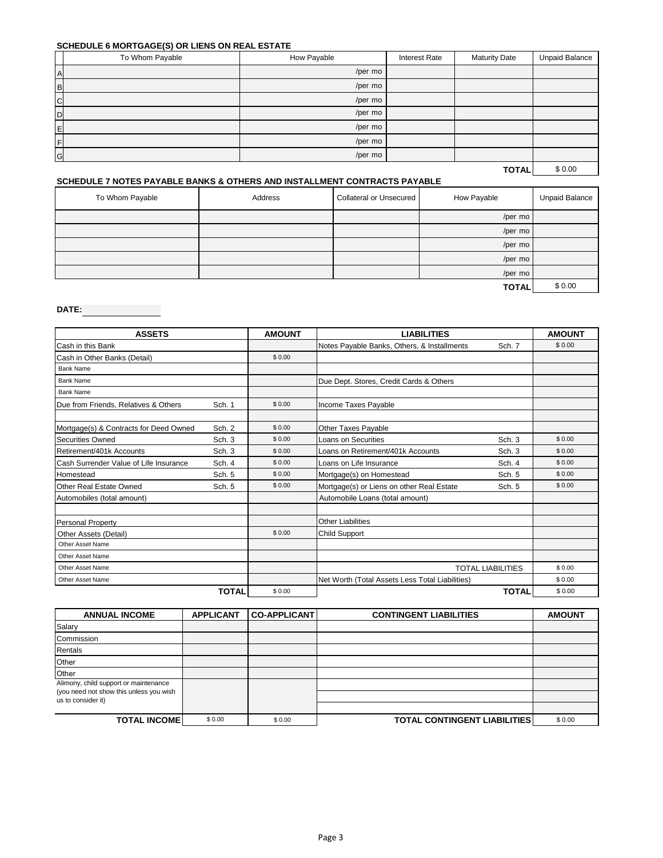# **SCHEDULE 6 MORTGAGE(S) OR LIENS ON REAL ESTATE**

| . .<br>To Whom Payable | How Payable<br><b>Interest Rate</b><br><b>Maturity Date</b> |  | <b>Unpaid Balance</b> |        |
|------------------------|-------------------------------------------------------------|--|-----------------------|--------|
| $\overline{A}$         | /per mo                                                     |  |                       |        |
| $\, {\bf B}$           | /per mo                                                     |  |                       |        |
| $\overline{C}$         | /per mo                                                     |  |                       |        |
| $\mathsf D$            | /per mo                                                     |  |                       |        |
| E                      | /per mo                                                     |  |                       |        |
| F                      | /per mo                                                     |  |                       |        |
| G                      | /per mo                                                     |  |                       |        |
|                        |                                                             |  | <b>TOTAL</b>          | \$0.00 |

# **SCHEDULE 7 NOTES PAYABLE BANKS & OTHERS AND INSTALLMENT CONTRACTS PAYABLE**

| To Whom Payable | Address | <b>Collateral or Unsecured</b> | How Payable  | <b>Unpaid Balance</b> |
|-----------------|---------|--------------------------------|--------------|-----------------------|
|                 |         |                                | /per mo      |                       |
|                 |         |                                | /per mo      |                       |
|                 |         |                                | /per mo      |                       |
|                 |         |                                | /per mo      |                       |
|                 |         |                                | /per mo      |                       |
|                 |         |                                | <b>TOTAL</b> | \$0.00                |

# **DATE:**

| <b>ASSETS</b>                          |              | <b>AMOUNT</b> | <b>LIABILITIES</b>                              |              | <b>AMOUNT</b> |
|----------------------------------------|--------------|---------------|-------------------------------------------------|--------------|---------------|
| Cash in this Bank                      |              |               | Notes Payable Banks, Others, & Installments     | Sch. 7       | \$0.00        |
| Cash in Other Banks (Detail)           |              | \$0.00        |                                                 |              |               |
| <b>Bank Name</b>                       |              |               |                                                 |              |               |
| <b>Bank Name</b>                       |              |               | Due Dept. Stores, Credit Cards & Others         |              |               |
| <b>Bank Name</b>                       |              |               |                                                 |              |               |
| Due from Friends, Relatives & Others   | Sch. 1       | \$0.00        | Income Taxes Payable                            |              |               |
|                                        |              |               |                                                 |              |               |
| Mortgage(s) & Contracts for Deed Owned | Sch. 2       | \$0.00        | Other Taxes Payable                             |              |               |
| Securities Owned                       | Sch. 3       | \$0.00        | Loans on Securities                             | Sch. 3       | \$0.00        |
| Retirement/401k Accounts               | Sch. 3       | \$0.00        | Loans on Retirement/401k Accounts               | Sch. 3       | \$0.00        |
| Cash Surrender Value of Life Insurance | Sch. 4       | \$0.00        | Loans on Life Insurance                         | Sch. 4       | \$0.00        |
| Homestead                              | Sch. 5       | \$0.00        | Mortgage(s) on Homestead                        | Sch. 5       | \$0.00        |
| Other Real Estate Owned                | Sch. 5       | \$0.00        | Mortgage(s) or Liens on other Real Estate       | Sch. 5       | \$0.00        |
| Automobiles (total amount)             |              |               | Automobile Loans (total amount)                 |              |               |
|                                        |              |               |                                                 |              |               |
| <b>Personal Property</b>               |              |               | <b>Other Liabilities</b>                        |              |               |
| Other Assets (Detail)                  |              | \$0.00        | <b>Child Support</b>                            |              |               |
| Other Asset Name                       |              |               |                                                 |              |               |
| Other Asset Name                       |              |               |                                                 |              |               |
| Other Asset Name                       |              |               | <b>TOTAL LIABILITIES</b><br>\$0.00              |              |               |
| Other Asset Name                       |              |               | Net Worth (Total Assets Less Total Liabilities) |              | \$0.00        |
|                                        | <b>TOTAL</b> | \$0.00        |                                                 | <b>TOTAL</b> | \$0.00        |

| <b>ANNUAL INCOME</b>                                          | <b>APPLICANT</b> | <b>CO-APPLICANT</b> | <b>CONTINGENT LIABILITIES</b>        | <b>AMOUNT</b> |
|---------------------------------------------------------------|------------------|---------------------|--------------------------------------|---------------|
| Salary                                                        |                  |                     |                                      |               |
| Commission                                                    |                  |                     |                                      |               |
| Rentals                                                       |                  |                     |                                      |               |
| Other                                                         |                  |                     |                                      |               |
| Other                                                         |                  |                     |                                      |               |
| Alimony, child support or maintenance                         |                  |                     |                                      |               |
| (you need not show this unless you wish<br>us to consider it) |                  |                     |                                      |               |
|                                                               |                  |                     |                                      |               |
| <b>TOTAL INCOME</b>                                           | \$0.00           | \$0.00              | <b>TOTAL CONTINGENT LIABILITIES!</b> | \$0.00        |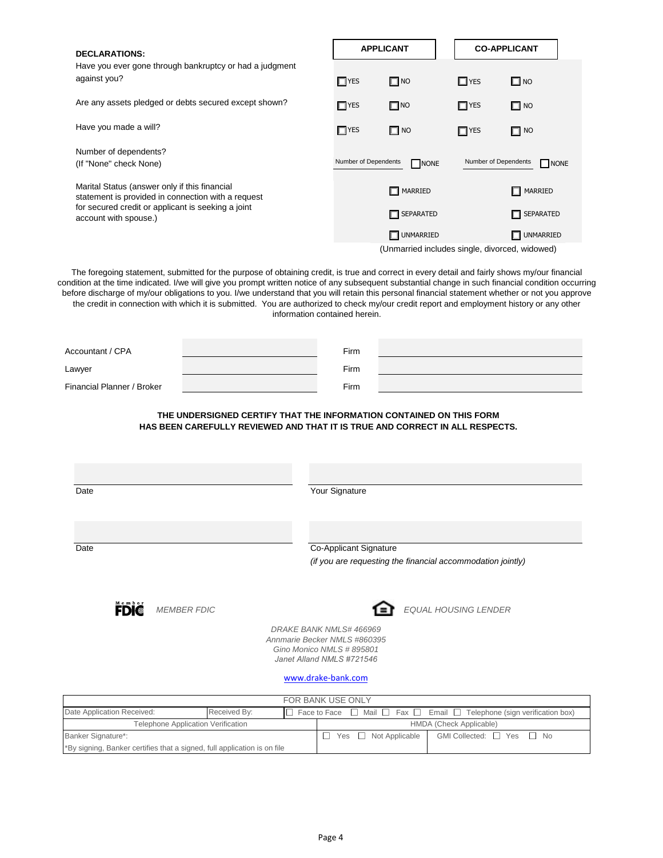| <b>DECLARATIONS:</b><br>Have you ever gone through bankruptcy or had a judgment<br>against you?<br>$\Box$ YES<br>Are any assets pledged or debts secured except shown?<br>$\Box$ YES<br>Have you made a will?<br>$\Box$ YES<br>Number of dependents?<br>Number of Dependents<br>(If "None" check None)<br>Marital Status (answer only if this financial<br>statement is provided in connection with a request<br>for secured credit or applicant is seeking a joint<br>account with spouse.)<br>The foregoing statement, submitted for the purpose of obtaining credit, is true and correct in every detail and fairly shows my/our financial<br>the credit in connection with which it is submitted. You are authorized to check my/our credit report and employment history or any other<br>information contained herein.<br>Firm<br>Firm<br>Firm<br>THE UNDERSIGNED CERTIFY THAT THE INFORMATION CONTAINED ON THIS FORM<br>HAS BEEN CAREFULLY REVIEWED AND THAT IT IS TRUE AND CORRECT IN ALL RESPECTS.<br>Your Signature<br>Date<br>Co-Applicant Signature<br>Date<br>(if you are requesting the financial accommodation jointly) |
|---------------------------------------------------------------------------------------------------------------------------------------------------------------------------------------------------------------------------------------------------------------------------------------------------------------------------------------------------------------------------------------------------------------------------------------------------------------------------------------------------------------------------------------------------------------------------------------------------------------------------------------------------------------------------------------------------------------------------------------------------------------------------------------------------------------------------------------------------------------------------------------------------------------------------------------------------------------------------------------------------------------------------------------------------------------------------------------------------------------------------------------|
| condition at the time indicated. I/we will give you prompt written notice of any subsequent substantial change in such financial condition occurring<br>before discharge of my/our obligations to you. I/we understand that you will retain this personal financial statement whether or not you approve<br>Accountant / CPA<br>Lawyer<br>Financial Planner / Broker                                                                                                                                                                                                                                                                                                                                                                                                                                                                                                                                                                                                                                                                                                                                                                  |
|                                                                                                                                                                                                                                                                                                                                                                                                                                                                                                                                                                                                                                                                                                                                                                                                                                                                                                                                                                                                                                                                                                                                       |
|                                                                                                                                                                                                                                                                                                                                                                                                                                                                                                                                                                                                                                                                                                                                                                                                                                                                                                                                                                                                                                                                                                                                       |
|                                                                                                                                                                                                                                                                                                                                                                                                                                                                                                                                                                                                                                                                                                                                                                                                                                                                                                                                                                                                                                                                                                                                       |
|                                                                                                                                                                                                                                                                                                                                                                                                                                                                                                                                                                                                                                                                                                                                                                                                                                                                                                                                                                                                                                                                                                                                       |
|                                                                                                                                                                                                                                                                                                                                                                                                                                                                                                                                                                                                                                                                                                                                                                                                                                                                                                                                                                                                                                                                                                                                       |
|                                                                                                                                                                                                                                                                                                                                                                                                                                                                                                                                                                                                                                                                                                                                                                                                                                                                                                                                                                                                                                                                                                                                       |
|                                                                                                                                                                                                                                                                                                                                                                                                                                                                                                                                                                                                                                                                                                                                                                                                                                                                                                                                                                                                                                                                                                                                       |
|                                                                                                                                                                                                                                                                                                                                                                                                                                                                                                                                                                                                                                                                                                                                                                                                                                                                                                                                                                                                                                                                                                                                       |
|                                                                                                                                                                                                                                                                                                                                                                                                                                                                                                                                                                                                                                                                                                                                                                                                                                                                                                                                                                                                                                                                                                                                       |
|                                                                                                                                                                                                                                                                                                                                                                                                                                                                                                                                                                                                                                                                                                                                                                                                                                                                                                                                                                                                                                                                                                                                       |
|                                                                                                                                                                                                                                                                                                                                                                                                                                                                                                                                                                                                                                                                                                                                                                                                                                                                                                                                                                                                                                                                                                                                       |
|                                                                                                                                                                                                                                                                                                                                                                                                                                                                                                                                                                                                                                                                                                                                                                                                                                                                                                                                                                                                                                                                                                                                       |
|                                                                                                                                                                                                                                                                                                                                                                                                                                                                                                                                                                                                                                                                                                                                                                                                                                                                                                                                                                                                                                                                                                                                       |
|                                                                                                                                                                                                                                                                                                                                                                                                                                                                                                                                                                                                                                                                                                                                                                                                                                                                                                                                                                                                                                                                                                                                       |
|                                                                                                                                                                                                                                                                                                                                                                                                                                                                                                                                                                                                                                                                                                                                                                                                                                                                                                                                                                                                                                                                                                                                       |
|                                                                                                                                                                                                                                                                                                                                                                                                                                                                                                                                                                                                                                                                                                                                                                                                                                                                                                                                                                                                                                                                                                                                       |
|                                                                                                                                                                                                                                                                                                                                                                                                                                                                                                                                                                                                                                                                                                                                                                                                                                                                                                                                                                                                                                                                                                                                       |
| $\blacksquare$<br><b>MEMBER FDIC</b>                                                                                                                                                                                                                                                                                                                                                                                                                                                                                                                                                                                                                                                                                                                                                                                                                                                                                                                                                                                                                                                                                                  |
| DRAKE BANK NMLS#466969<br>Annmarie Becker NMLS #860395<br>Gino Monico NMLS #895801<br>Janet Alland NMLS #721546                                                                                                                                                                                                                                                                                                                                                                                                                                                                                                                                                                                                                                                                                                                                                                                                                                                                                                                                                                                                                       |
|                                                                                                                                                                                                                                                                                                                                                                                                                                                                                                                                                                                                                                                                                                                                                                                                                                                                                                                                                                                                                                                                                                                                       |
| www.drake-bank.com                                                                                                                                                                                                                                                                                                                                                                                                                                                                                                                                                                                                                                                                                                                                                                                                                                                                                                                                                                                                                                                                                                                    |
| FOR BANK USE ONLY<br>Date Application Received:<br>Received By:<br>$\Box$ Face to Face                                                                                                                                                                                                                                                                                                                                                                                                                                                                                                                                                                                                                                                                                                                                                                                                                                                                                                                                                                                                                                                |
|                                                                                                                                                                                                                                                                                                                                                                                                                                                                                                                                                                                                                                                                                                                                                                                                                                                                                                                                                                                                                                                                                                                                       |